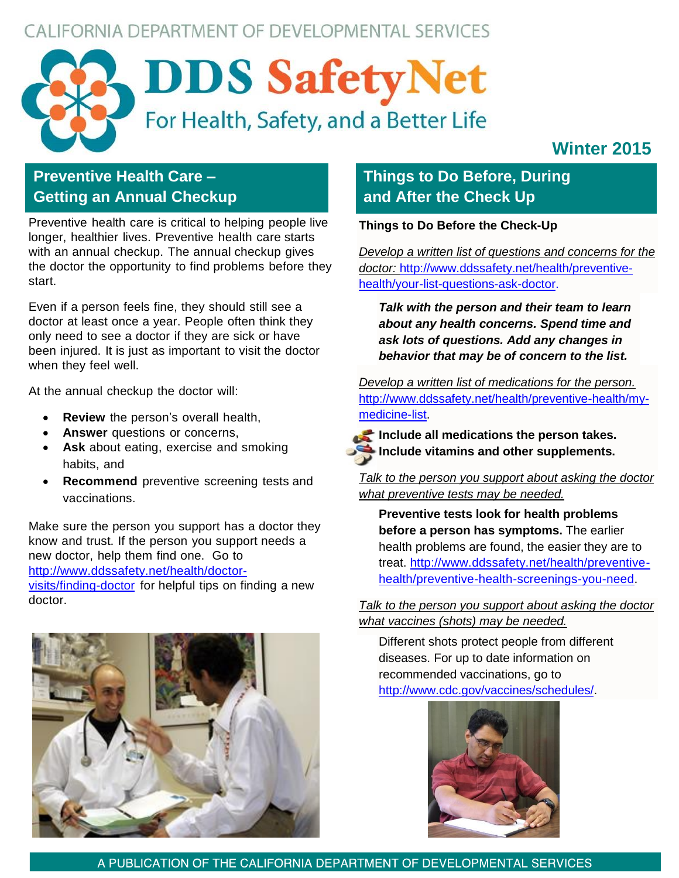# CALIFORNIA DEPARTMENT OF DEVELOPMENTAL SERVICES



# **Winter 2015**

# **Preventive Health Care – Getting an Annual Checkup**

Preventive health care is critical to helping people live longer, healthier lives. Preventive health care starts with an annual checkup. The annual checkup gives the doctor the opportunity to find problems before they start.

Even if a person feels fine, they should still see a doctor at least once a year. People often think they only need to see a doctor if they are sick or have been injured. It is just as important to visit the doctor when they feel well.

At the annual checkup the doctor will:

- **Review** the person's overall health,
- **Answer** questions or concerns,
- **Ask** about eating, exercise and smoking habits, and
- **Recommend** preventive screening tests and vaccinations.

Make sure the person you support has a doctor they know and trust. If the person you support needs a new doctor, help them find one. Go to [http://www.ddssafety.net/health/doctor](http://www.ddssafety.net/health/doctor-)visits/finding-doctor for helpful tips on finding a new doctor.

# **Things to Do Before, During and After the Check Up**

**Things to Do Before the Check-Up**

*Develop a written list of questions and concerns for the doctor:* [http://www.ddssafety.net/health/preventive](http://www.ddssafety.net/health/preventive-health/your-list-questions-ask-doctor)[health/your-list-questions-ask-doctor.](http://www.ddssafety.net/health/preventive-health/your-list-questions-ask-doctor)

*Talk with the person and their team to learn about any health concerns. Spend time and ask lots of questions. Add any changes in behavior that may be of concern to the list.*

*Develop a written list of medications for the person.* [http://www.ddssafety.net/health/preventive-health/my](http://www.ddssafety.net/health/preventive-health/my-medicine-list)[medicine-list.](http://www.ddssafety.net/health/preventive-health/my-medicine-list)



**Include all medications the person takes. Include vitamins and other supplements.**

*Talk to the person you support about asking the doctor what preventive tests may be needed.*

**Preventive tests look for health problems before a person has symptoms.** The earlier health problems are found, the easier they are to treat. [http://www.ddssafety.net/health/preventive](http://www.ddssafety.net/health/preventive-health/preventive-health-screenings-you-need)[health/preventive-health-screenings-you-need.](http://www.ddssafety.net/health/preventive-health/preventive-health-screenings-you-need)

*Talk to the person you support about asking the doctor what vaccines (shots) may be needed.*

Different shots protect people from different diseases. For up to date information on recommended vaccinations, go to [http://www.cdc.gov/vaccines/schedules/.](http://www.cdc.gov/vaccines/schedules/)